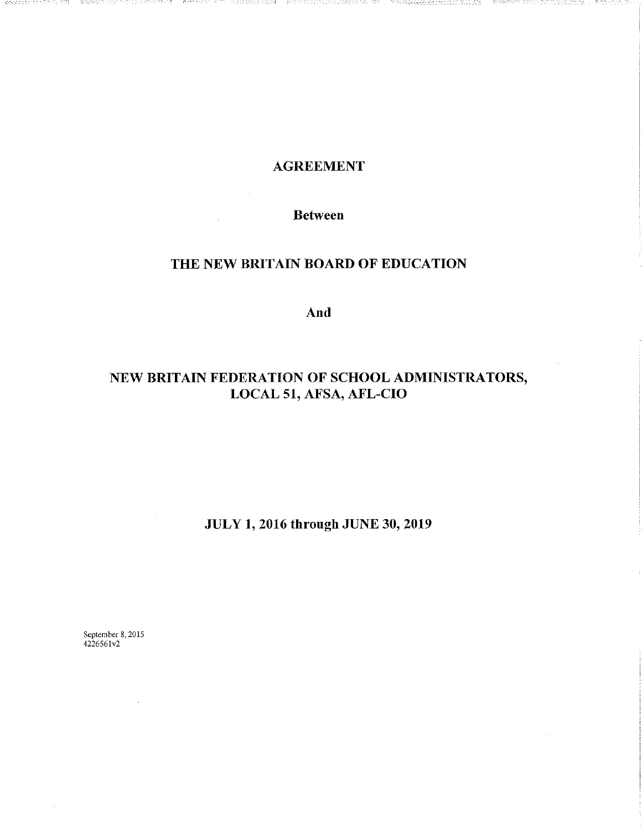# AGREEMENT

# Between

# THE NEW BRITAIN BOARD OF EDUCATION

And

# NEW BRITAIN FEDERATION OF SCHOOL ADMINISTRATORS, LOCAL 51, AFSA, AFL-CIO

# JULY 1, 2016 through JUNE 30,2019

September 8, 2015 4226561v2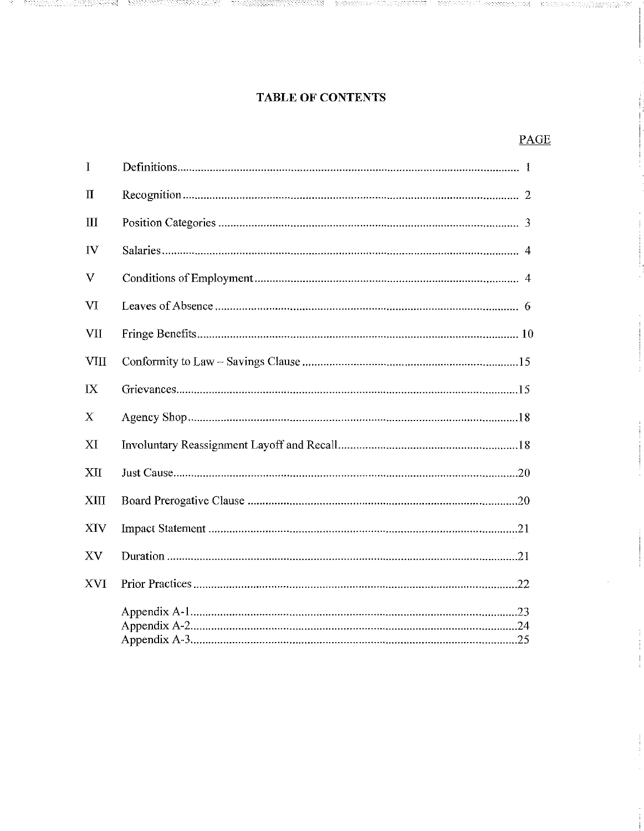# **TABLE OF CONTENTS**

Properties and the second company of the express and

- ISBN 1944 - 1955 - 1955 - 1955 - 1955 - 1955 - 1955 - 1955 - 1955 - 1955 - 1955 - 1955 - 1955 - 19

14 - ERESTINAS INDEPERTENT - ERNAND INTARRAT RANG I

卡拉

| I            |  |
|--------------|--|
| П            |  |
| $\mathbf{I}$ |  |
| IV           |  |
| V            |  |
| VI           |  |
| VII          |  |
| <b>VIII</b>  |  |
| IX           |  |
| X            |  |
| XI           |  |
| XЦ           |  |
| XIII         |  |
| XIV          |  |
| XV           |  |
| <b>XVI</b>   |  |
|              |  |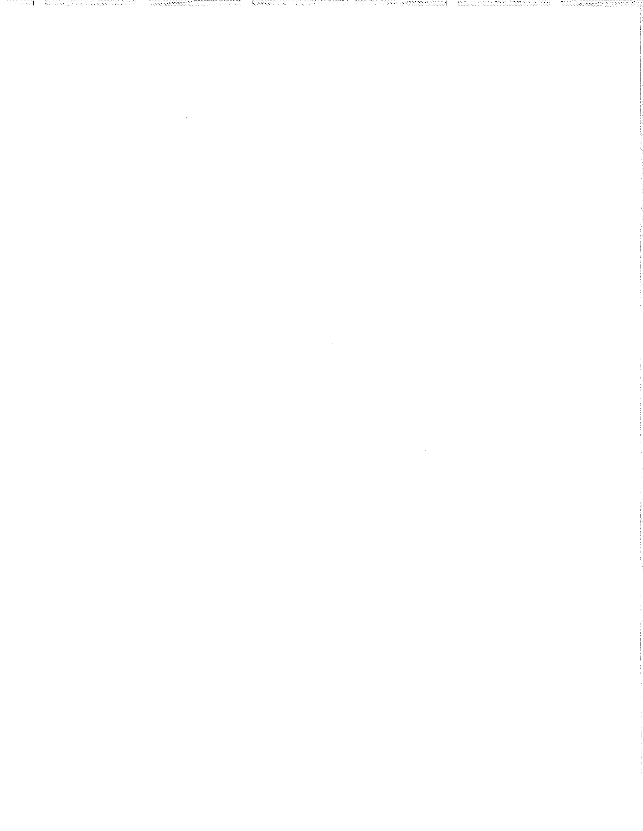- Tigʻidhiyo

 $\label{eq:2.1} \frac{1}{\sqrt{2}}\left(\frac{1}{\sqrt{2}}\right)^{2} \left(\frac{1}{\sqrt{2}}\right)^{2} \left(\frac{1}{\sqrt{2}}\right)^{2} \left(\frac{1}{\sqrt{2}}\right)^{2} \left(\frac{1}{\sqrt{2}}\right)^{2} \left(\frac{1}{\sqrt{2}}\right)^{2} \left(\frac{1}{\sqrt{2}}\right)^{2} \left(\frac{1}{\sqrt{2}}\right)^{2} \left(\frac{1}{\sqrt{2}}\right)^{2} \left(\frac{1}{\sqrt{2}}\right)^{2} \left(\frac{1}{\sqrt{2}}\right)^{2} \left(\$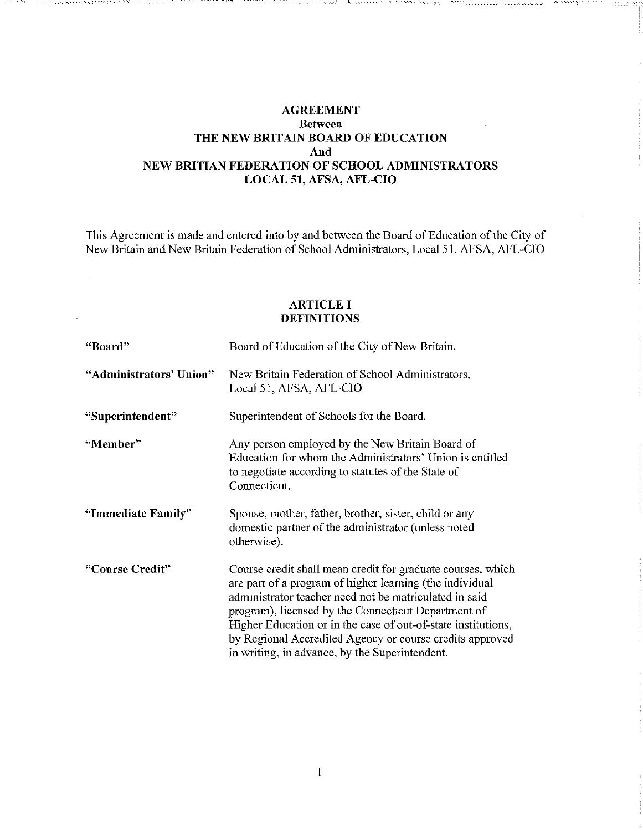# **AGREEMENT Between THE NEW BRITAIN BOARD OF EDUCATION And NEW BRITIAN FEDERATION OF SCHOOL ADMINISTRATORS LOCAL 51, AFSA, AFL-CIO**

This Agreement is made and entered into by and between the Board of Education of the City of New Britain and New Britain Federation of School Administrators, Local 51, AFSA, AFL-CIO

 $\hat{\mathcal{A}}$ 

# **ARTICLE I DEFINITIONS**

| "Board"                 | Board of Education of the City of New Britain.                                                                                                                                                                                                                                                                                                                                                                          |  |  |  |
|-------------------------|-------------------------------------------------------------------------------------------------------------------------------------------------------------------------------------------------------------------------------------------------------------------------------------------------------------------------------------------------------------------------------------------------------------------------|--|--|--|
| "Administrators' Union" | New Britain Federation of School Administrators,<br>Local 51, AFSA, AFL-CIO                                                                                                                                                                                                                                                                                                                                             |  |  |  |
| "Superintendent"        | Superintendent of Schools for the Board.                                                                                                                                                                                                                                                                                                                                                                                |  |  |  |
| "Member"                | Any person employed by the New Britain Board of<br>Education for whom the Administrators' Union is entitled<br>to negotiate according to statutes of the State of<br>Connecticut.                                                                                                                                                                                                                                       |  |  |  |
| "Immediate Family"      | Spouse, mother, father, brother, sister, child or any<br>domestic partner of the administrator (unless noted<br>otherwise).                                                                                                                                                                                                                                                                                             |  |  |  |
| "Course Credit"         | Course credit shall mean credit for graduate courses, which<br>are part of a program of higher learning (the individual<br>administrator teacher need not be matriculated in said<br>program), licensed by the Connecticut Department of<br>Higher Education or in the case of out-of-state institutions,<br>by Regional Accredited Agency or course credits approved<br>in writing, in advance, by the Superintendent. |  |  |  |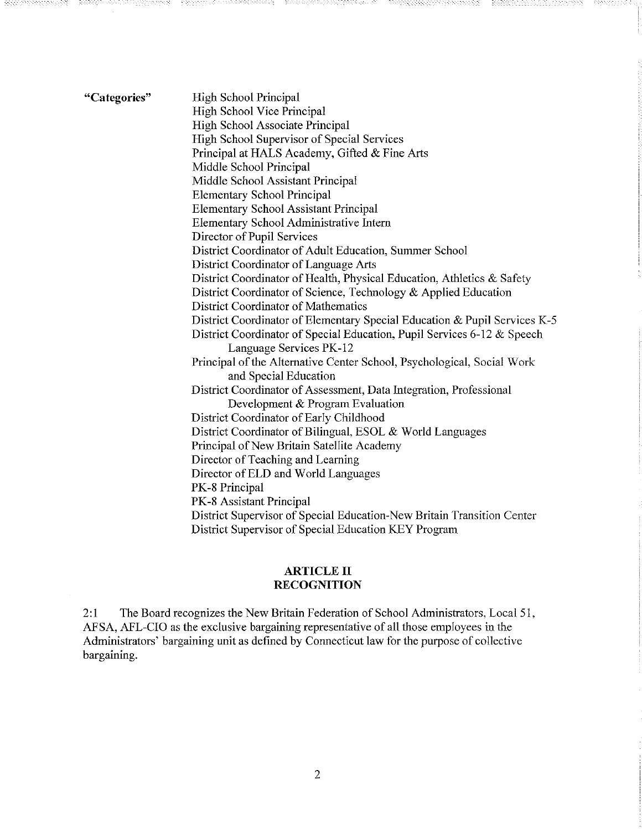**"Categories"** High School Principal High School Vice Principal High School Associate Principal High School Supervisor of Special Services Principal at HALS Academy, Gifted & Fine Arts Middle School Principal Middle School Assistant Principal Elementary School Principal Elementary School Assistant Principal Elementary School Administrative Intern Director of Pupil Services District Coordinator of Adult Education, Summer School District Coordinator of Language Arts District Coordinator of Health, Physical Education, Athletics & Safety District Coordinator of Science, Technology & Applied Education District Coordinator of Mathematics District Coordinator of Elementary Special Education & Pupil Services K-5 District Coordinator of Special Education, Pupil Services 6-12 & Speech Language Services PK -12 Principal of the Alternative Center School, Psychological, Social Work and Special Education District Coordinator of Assessment, Data Integration, Professional Development & Program Evaluation District Coordinator of Early Childhood District Coordinator of Bilingual, ESOL & World Languages Principal of New Britain Satellite Academy Director of Teaching and Learning Director of ELD and World Languages PK-8 Principal PK -8 Assistant Principal District Supervisor of Special Education-New Britain Transition Center District Supervisor of Special Education KEY Program

# **ARTICLE II RECOGNITION**

2:1 The Board recognizes the New Britain Federation of School Administrators, Local 51, AFSA, AFL-CIO as the exclusive bargaining representative of all those employees in the Administrators' bargaining unit as defined by Connecticut law for the purpose of collective bargaining.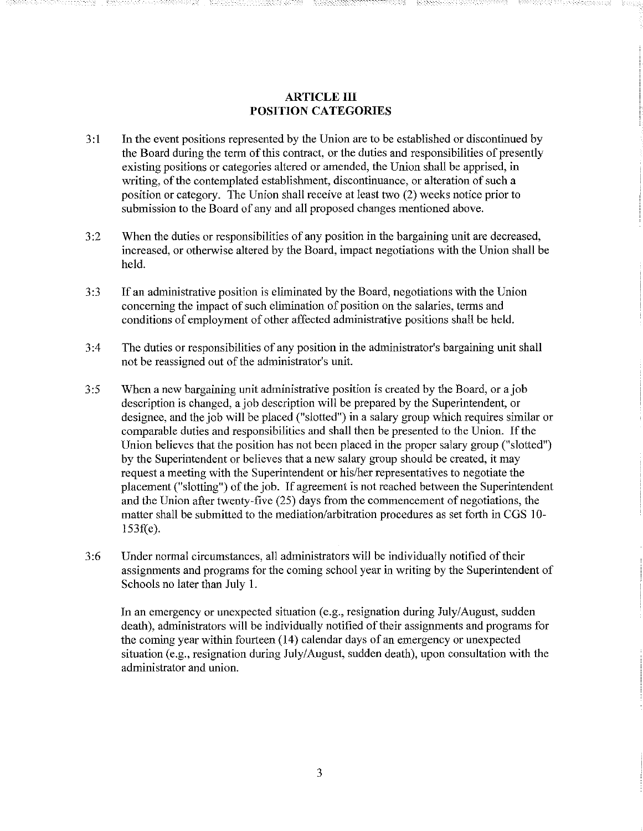# **ARTICLE III POSITION CATEGORIES**

- 3:1 In the event positions represented by the Union are to he established or discontinued by the Board during the term of this contract, or the duties and responsibilities of presently existing positions or categories altered or amended, the Union shall be apprised, in writing, of the contemplated establishment, discontinuance, or alteration of such a position or category. The Union shall receive at least two (2) weeks notice prior to submission to the Board of any and all proposed changes mentioned above.
- 3 :2 When the duties or responsibilities of any position in the bargaining unit are decreased, increased, or otherwise altered by the Board, impact negotiations with the Union shall be held.
- 3:3 If an administrative position is eliminated by the Board, negotiations with the Union concerning the impact of such elimination of position on the salaries, terms and conditions of employment of other affected administrative positions shall be held.
- 3:4 The duties or responsibilities of any position in the administrator's bargaining unit shall not be reassigned out of the administrator's unit.
- 3:5 When a new bargaining unit administrative position is created by the Board, or a job description is changed, a job description will be prepared by the Superintendent, or designee, and the job will be placed ("slotted") in a salary group which requires similar or comparable duties and responsibilities and shall then be presented to the Union. If the Union believes that the position has not been placed in the proper salary group ("slotted") by the Superintendent or believes that a new salary group should be created, it may request a meeting with the Superintendent or his/her representatives to negotiate the placement ("slotting") of the job. If agreement is not reached between the Superintendent and the Union after twenty-five (25) days from the commencement of negotiations, the matter shall be submitted to the mediation/arbitration procedures as set forth in CGS 10-153f(e).
- 3:6 Under normal circumstances, all administrators will be individually notified of their assignments and programs for the coming school year in writing by the Superintendent of Schools no later than July I.

In an emergency or unexpected situation (e.g., resignation during July/August, sudden death), administrators will be individually notified of their assignments and programs for the coming year within fourteen (14) calendar days of an emergency or unexpected situation (e.g., resignation during July/ August, sudden death), upon consultation with the administrator and union.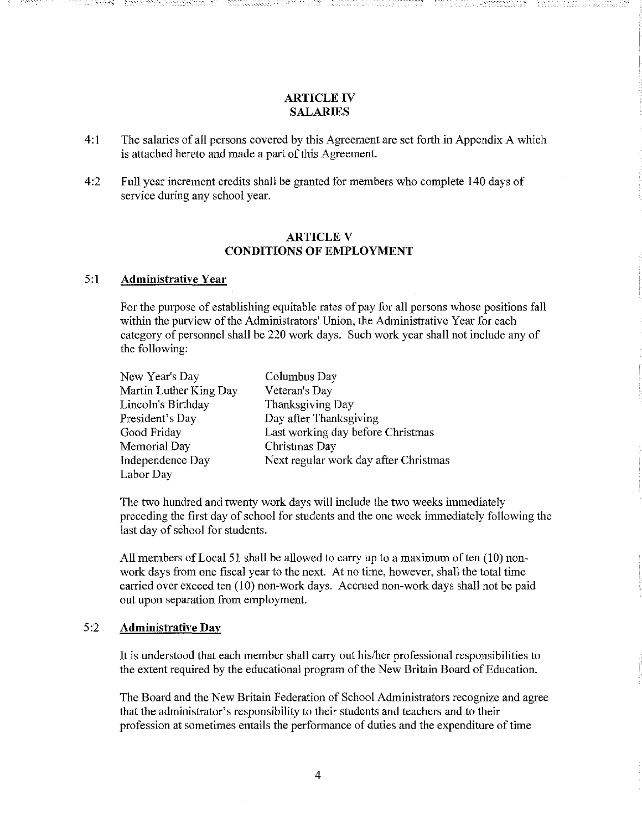# ARTICLE IV SALARIES

- 4: 1 The salaries of all persons covered by this Agreement are set forth in Appendix A which is attached hereto and made a part of this Agreement.
- 4:2 Full year increment credits shall be granted for members who complete 140 days of service during any school year.

# ARTICLE V CONDITIONS **OF** EMPLOYMENT

## 5:1 Administrative Year

For the purpose of establishing equitable rates of pay for all persons whose positions fall within the purview of the Administrators' Union, the Administrative Year for each category of personnel shall be 220 work days. Such work year shall not include any of the following:

| New Year's Day         | Columbus Day                          |
|------------------------|---------------------------------------|
| Martin Luther King Day | Veteran's Day                         |
| Lincoln's Birthday     | Thanksgiving Day                      |
| President's Day        | Day after Thanksgiving                |
| Good Friday            | Last working day before Christmas     |
| Memorial Day           | Christmas Day                         |
| Independence Day       | Next regular work day after Christmas |
| Labor Day              |                                       |

The two hundred and twenty work days will include the two weeks immediately preceding the first day of school for students and the one week immediately following the last day of school for students.

All members of Local 51 shall be allowed to carry up to a maximum of ten (10) nonwork days from one fiscal year to the next. At no time, however, shall the total time carried over exceed ten (10) non-work days. Accrued non-work days shall not be paid out upon separation from employment.

#### 5:2 Administrative Day

It is understood that each member shall carry out hislher professional responsibilities to the extent required by the educational program of the New Britain Board of Education.

The Board and the New Britain Federation of School Administrators recognize and agree that the administrator's responsibility to their students and teachers and to their profession at sometimes entails the performance of duties and the expenditure of time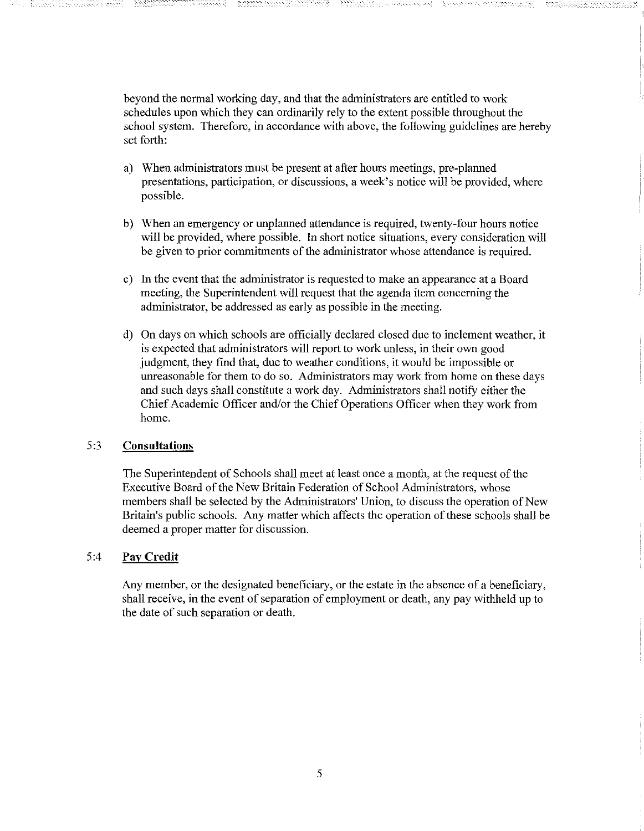beyond the normal working day, and that the administrators are entitled to work schedules upon which they can ordinarily rely to the extent possible throughout the school system. Therefore, in accordance with above, the following guidelines are hereby set forth:

- a) When administrators must be present at after hours meetings, pre-planned presentations, participation, or discussions, a week's notice will be provided, where possible.
- b) When an emergency or unplanned attendance is required, twenty-four hours notice will be provided, where possible. In short notice situations, every consideration will be given to prior commitments of the administrator whose attendance is required.
- c) In the event that the administrator is requested to make an appearance at a Board meeting, the Superintendent will request that the agenda item concerning the administrator, be addressed as early as possible in the meeting.
- d) On days on which schools are officially declared closed due to inclement weather, it is expected that administrators will report to work unless, in their own good judgment, they find that, due to weather conditions, it would be impossible or unreasonable for them to do so. Administrators may work from home on these days and such days shall constitute a work day. Administrators shall notify either the Chief Academic Officer and/or the Chief Operations Officer when they work from home.

#### 5:3 **Consultations**

The Superintendent of Schools shall meet at least once a month, at the request of the Executive Board of the New Britain Federation of School Administrators, whose members shall be selected by the Administrators' Union, to discuss the operation of New Britain's public schools. Any matter which affects the operation of these schools shall be deemed a proper matter for discussion.

#### 5:4 **Pay Credit**

Any member, or the designated beneficiary, or the estate in the absence of a beneficiary, shall receive, in the event of separation of employment or death, any pay withheld up to the date of such separation or death.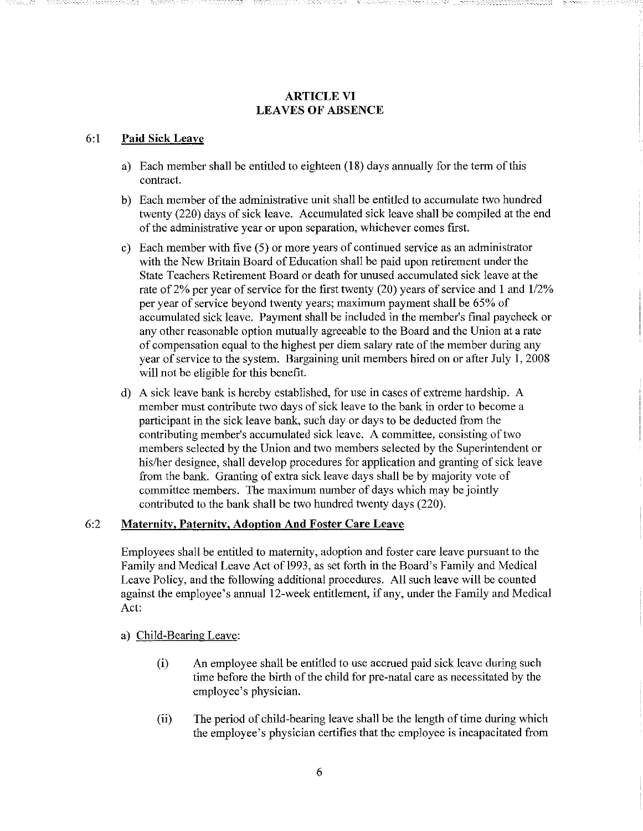# **ARTICLE VI LEAVES OF ABSENCE**

# 6:1 **Paid Sick Leave**

- a) Each member shall be entitled to eighteen (18) days annually for the term of this contract.
- b) Each member of the administrative unit shall be entitled to accumulate two hundred twenty (220) days of sick leave. Accumulated sick leave shall be compiled at the end of the administrative year or upon separation, whichever comes first.
- c) Each member with five (5) or more years of continued service as an administrator with the New Britain Board of Education shall be paid upon retirement under the State Teachers Retirement Board or death for unused accumulated sick leave at the rate of 2% per year of service for the first twenty (20) years of service and 1 and 1/2% per year of service beyond twenty years; maximum payment shall be 65% of accumulated sick leave. Payment shall be included in the member's final paycheck or any other reasonable option mutually agreeable to the Board and the Union at a rate of compensation equal to the highest per diem salary rate of the member during any year of service to the system. Bargaining unit members hired on or after July **1,** 2008 will not be eligible for this benefit.
- d) A sick leave bank is hereby established, for use in cases of extreme hardship. A member must contribute two days of sick leave to the bank in order to become a participant in the sick leave bank, such day or days to be deducted from the contributing member's accumulated sick leave. A committee, consisting of two members selected by the Union and two members selected by the Superintendent or his/her designee, shall develop procedures for application and granting of sick leave from the bank. Granting of extra sick leave days shall be by majority vote of committee members. The maximum number of days which may be jointly contributed to the bank shall be two hundred twenty days (220).

# 6:2 **Maternity, Paternity, Adoption And Foster Care Leave**

Employees shall be entitled to maternity, adoption and foster care leave pursuant to the Family and Medical Leave Act of 1993, as set forth in the Board's Family and Medical Leave Policy, and the following additional procedures. All such leave will be counted against the employee's annual 12-week entitlement, if any, under the Family and Medical Act:

- a) Child-Bearing Leave:
	- (i) An employee shall be entitled to use accrued paid sick leave during such time before the birth of the child for pre-natal care as necessitated by the employee's physician.
	- (ii) The period of child-bearing leave shall be the length of time during which the employee's physician certifies that the employee is incapacitated from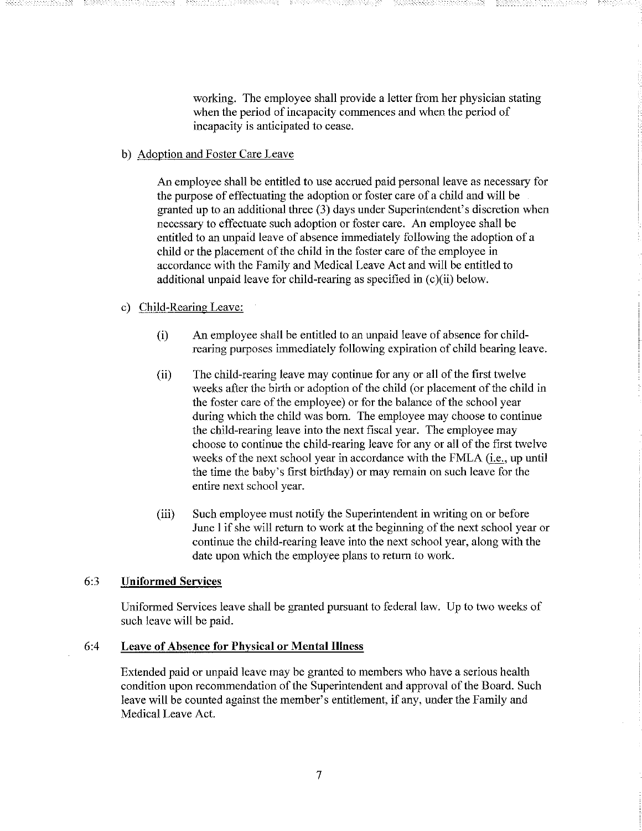working. The employee shall provide a letter from her physician stating when the period of incapacity commences and when the period of incapacity is anticipated to cease.

b) Adoption and Foster Care Leave

An employee shall be entitled to use accrued paid personal leave as necessary for the purpose of effectuating the adoption or foster care of a child and will be granted up to an additional three (3) days under Superintendent's discretion when necessary to effectuate such adoption or foster care. An employee shall be entitled to an unpaid leave of absence immediately following the adoption of a child or the placement of the child in the foster care of the employee in accordance with the Family and Medical Leave Act and will be entitled to additional unpaid leave for child-rearing as specified in  $(c)(ii)$  below.

# c) Child-Rearing Leave:

- (i) An employee shall be entitled to an unpaid leave of absence for childrearing purposes immediately following expiration of child bearing leave.
- (ii) The child-rearing leave may continue for any or all of the first twelve weeks after the birth or adoption of the child (or placement of the child in the foster care of the employee) or for the balance of the school year during which the child was born. The employee may choose to continue the child-rearing leave into the next fiscal year. The employee may choose to continue the child-rearing leave for any or all of the first twelve weeks of the next school year in accordance with the FMLA (i.e., up until the time the baby's first birthday) or may remain on such leave for the entire next school year.
- (iii) Such employee must notify the Superintendent in writing on or before June I if she will return to work at the beginning of the next school year or continue the child-rearing leave into the next school year, along with the date upon which the employee plans to return to work.

#### 6:3 Uniformed Services

Uniformed Services leave shall be granted pursuant to federal law. Up to two weeks of such leave will be paid.

#### 6:4 Leave of Absence for Physical or Mental Illness

Extended paid or unpaid leave may be granted to members who have a serious health condition upon recommendation of the Superintendent and approval of the Board. Such leave will be counted against the member's entitlement, if any, under the Family and Medical Leave Act.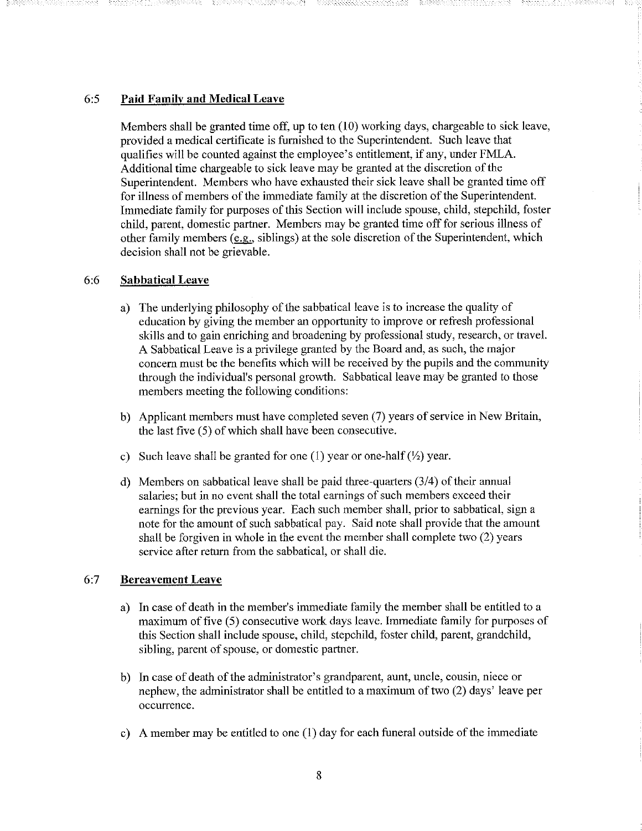# 6:5 Paid Family and Medical Leave

Members shall be granted time off, up to ten  $(10)$  working days, chargeable to sick leave, provided a medical certificate is furnished to the Superintendent. Such leave that qualifies will be counted against the employee's entitlement, if any, under FMLA. Additional time chargeable to sick leave may be granted at the discretion of the Superintendent. Members who have exhausted their sick leave shall be granted time off for illness of members of the immediate family at the discretion of the Superintendent. Immediate family for purposes of this Section will include spouse, child, stepchild, foster child, parent, domestic partner. Members may be granted time off for serious illness of other family members (e.g., siblings) at the sole discretion of the Superintendent, which decision shall not be grievable.

#### 6:6 Sabbatical Leave

- a) The underlying philosophy of the sabbatical leave is to increase the quality of education by giving the member an opportunity to improve or refresh professional skills and to gain enriching and broadening by professional study, research, or travel. A Sabbatical Leave is a privilege granted by the Board and, as such, the major concern must be the benefits which will be received by the pupils and the community through the individual's personal growth. Sabbatical leave may be granted to those members meeting the following conditions:
- b) Applicant members must have completed seven (7) years of service in New Britain, the last five (5) of which shall have been consecutive.
- c) Such leave shall be granted for one (1) year or one-half  $(\frac{1}{2})$  year.
- d) Members on sabbatical leave shall be paid three-quarters (3/4) of their annual salaries; but in no event shall the total earnings of such members exceed their earnings for the previous year. Each such member shall, prior to sabbatical, sign a note for the amount of such sabbatical pay. Said note shall provide that the amount shall be forgiven in whole in the event the member shall complete two (2) years service after return from the sabbatical, or shall die.

# 6:7 Bereavement Leave

- a) In case of death in the member's immediate family the member shall be entitled to a maximum of five (5) consecutive work days leave. Immediate family for purposes of this Section shall include spouse, child, stepchild, foster child, parent, grandchild, sibling, parent of spouse, or domestic partner.
- b) In case of death of the administrator's grandparent, aunt, uncle, cousin, niece or nephew, the administrator shall be entitled to a maximum of two (2) days' leave per occurrence.
- c) A member may be entitled to one (I) day for each funeral outside of the immediate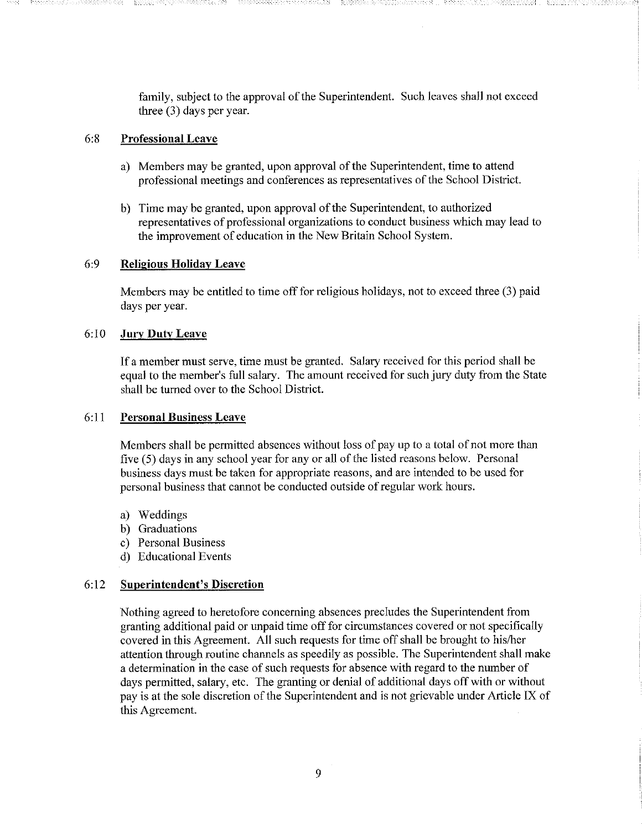family, subject to the approval of the Superintendent. Such leaves shall not exceed three (3) days per year.

## 6:8 Professional Leave

- a) Members may be granted, upon approval of the Superintendent, time to attend professional meetings and conferences as representatives of the School District.
- b) Time may be granted, upon approval of the Superintendent, to authorized representatives of professional organizations to conduct business which may lead to the improvement of education in the New Britain School System.

### 6:9 Religious Holiday Leave

Members may be entitled to time off for religious holidays, not to exceed three (3) paid days per year.

### 6:10 Jury DutvLeave

If a member must serve, time must be granted. Salary received for this period shall be equal to the member's full salary. The amount received for such jury duty from the State shall be turned over to the School District.

#### 6: 11 Personal Business Leave

Members shall be permitted absences without loss of pay up to a total of not more than five (5) days in any school year for any or all of the listed reasons below. Personal business days must be taken for appropriate reasons, and are intended to be used for personal business that cannot be conducted outside of regular work hours.

- a) Weddings
- b) Graduations
- c) Personal Business
- d) Educational Events

# 6:12 Superintendent's Discretion

Nothing agreed to heretofore concerning absences precludes the Superintendent from granting additional paid or unpaid time off for circumstances covered or not specifically covered in this Agreement. All such requests for time off shall be brought to his/her attention through routine channels as speedily as possible. The Superintendent shall make a determination in the case of such requests for absence with regard to the number of days permitted, salary, etc. The granting or denial of additional days off with or without pay is at the sole discretion of the Superintendent and is not grievable under Article IX of this Agreement.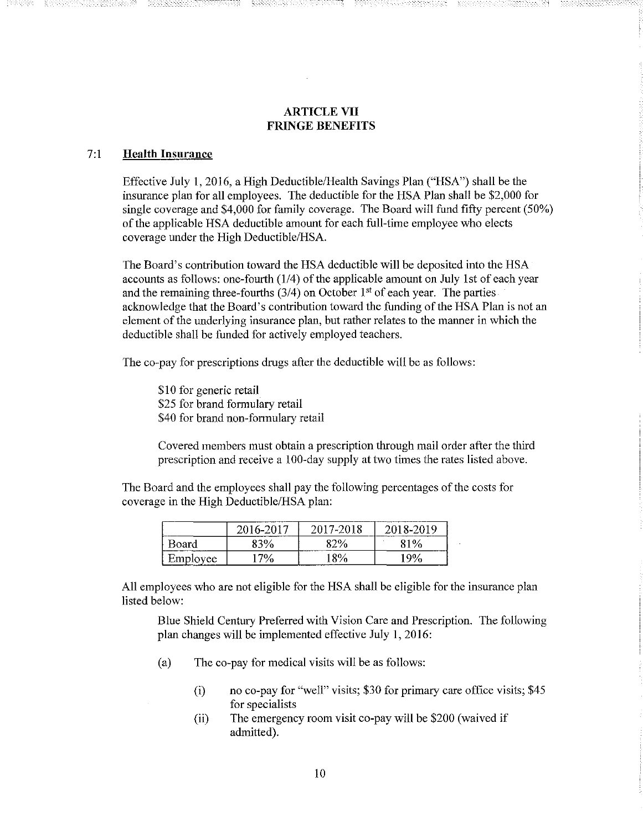# **ARTICLE VII FRINGE BENEFITS**

#### 7:1 **Health Insurance**

Effective July 1, 2016, a High Deductible/Health Savings Plan ("HSA") shall be the insurance plan for all employees. The deductible for the HSA Plan shall be \$2,000 for single coverage and \$4,000 for family coverage. The Board will fund fifty percent (50%) of the applicable HSA deductible amount for each full-time employee who elects coverage under the High Deductible/HSA.

The Board's contribution toward the HSA deductible will be deposited into the HSA accounts as follows: one-fourth  $(1/4)$  of the applicable amount on July 1st of each year and the remaining three-fourths  $(3/4)$  on October 1<sup>st</sup> of each year. The parties acknowledge that the Board's contribution toward the funding of the HSA Plan is not an element of the underlying insurance plan, but rather relates to the manner in which the deductible shall be funded for actively employed teachers.

The co-pay for prescriptions drugs after the deductible will be as follows:

\$10 for generic retail \$25 for brand formulary retail \$40 for brand non-formulary retail

Covered members must obtain a prescription through mail order after the third prescription and receive a I 00-day supply at two times the rates listed above.

The Board and the employees shall pay the following percentages of the costs for coverage in the High Deductible/HSA plan:

|                             | <b><i><u>USAN WARRANT AND PERSON</u>T</i></b><br>- | $\overline{\phantom{a}}$                | ∼<br>.<br>____ |
|-----------------------------|----------------------------------------------------|-----------------------------------------|----------------|
| Board<br>__________________ | 20                                                 | <b><i>Separate Service Services</i></b> |                |
| vee :<br>-----              | -10.                                               | vu.<br>∕∩                               | -00            |

All employees who are not eligible for the HSA shall be eligible for the insurance plan listed below:

Blue Shield Century Preferred with Vision Care and Prescription. The following plan changes will be implemented effective July I, 2016:

- (a) The co-pay for medical visits will be as follows:
	- (i) no co-pay for "well" visits; \$30 for primary care office visits; \$45 for specialists
	- (ii) The emergency room visit co-pay will be \$200 (waived if admitted).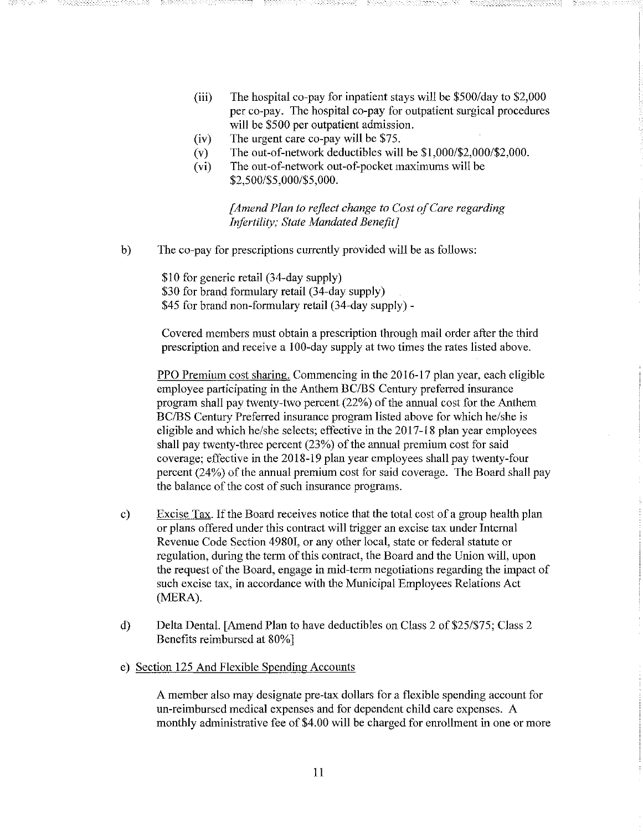- (iii) The hospital co-pay for inpatient stays will be \$500/day to \$2,000 per co-pay. The hospital co-pay for outpatient surgical procedures will be \$500 per outpatient admission.
- (iv) The urgent care co-pay will be \$75.
- (v) The out-of-network deductibles will be \$1,000/\$2,000/\$2,000.
- (vi) The out-of-network out-of-pocket maximums will be \$2,500/\$5,000/\$5,000.

*{Amend Plan to reflect change to Cost of Care regarding Infertility; State Mandated Benefit}* 

b) The co-pay for prescriptions currently provided will be as follows:

\$10 for generic retail (34-day supply) \$30 for brand formulary retail (34-day supply) \$45 for brand non-formulary retail (34-day supply) -

Covered members must obtain a prescription through mail order after the third prescription and receive a 100-day supply at two times the rates listed above.

PPO Premium cost sharing. Commencing in the 2016-17 plan year, each eligible employee participating in the Anthem BC/BS Century preferred insurance program shall pay twenty-two percent (22%) of the annual cost for the Anthem BC/BS Century Preferred insurance program listed above for which he/she is eligible and which he/she selects; effective in the 2017-18 plan year employees shall pay twenty-three percent (23%) of the annual premium cost for said coverage; effective in the 2018-19 plan year employees shall pay twenty-four percent (24%) of the annual premium cost for said coverage. The Board shall pay the balance of the cost of such insurance programs.

- c) Excise Tax. If the Board receives notice that the total cost of a group health plan or plans offered under this contract will trigger an excise tax under Internal Revenue Code Section 4980I, or any other local, state or federal statute or regulation, during the term of this contract, the Board and the Union will, upon the request of the Board, engage in mid-term negotiations regarding the impact of such excise tax, in accordance with the Municipal Employees Relations Act (MERA).
- d) Delta Dental. [Amend Plan to have deductibles on Class 2 of \$25/\$75; Class 2 Benefits reimbursed at 80%]
- e) Section 125 And Flexible Spending Accounts

A member also may designate pre-tax dollars for a flexible spending account for un-reimbursed medical expenses and for dependent child care expenses. A monthly administrative fee of \$4.00 will be charged for enrollment in one or more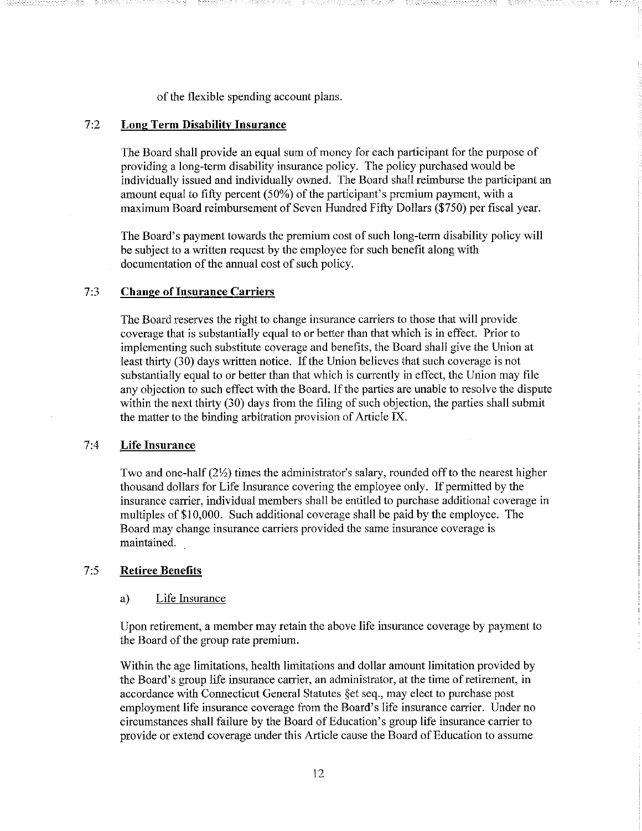of the flexible spending account plans.

# 7:2 **Long Term Disability Insurance**

The Board shall provide an equal sum of money for each participant for the purpose of providing a long-term disability insurance policy. The policy purchased would be individually issued and individually owned. The Board shall reimburse the participant an amount equal to fifty percent (50%) of the participant's premium payment, with a maximum Board reimbursement of Seven Hundred Fifty Dollars (\$750) per fiscal year.

The Board's payment towards the premium cost of such long-term disability policy will be subject to a written request by the employee for such benefit along with documentation of the annual cost of such policy.

# 7:3 **Change oflnsurance Carriers**

The Board reserves the right to change insurance carriers to those that will provide coverage that is substantially equal to or better than that which is in effect. Prior to implementing such substitute coverage and benefits, the Board shall give the Union at least thirty (30) days written notice. If the Union believes that such coverage is not substantially equal to or better than that which is currently in effect, the Union may file any objection to such effect with the Board. If the parties are unable to resolve the dispute within the next thirty (30) days from the filing of such objection, the parties shall submit the matter to the binding arbitration provision of Article IX.

# 7:4 **Life Insurance**

Two and one-half  $(2\frac{1}{2})$  times the administrator's salary, rounded off to the nearest higher thousand dollars for Life Insurance covering the employee only. If permitted by the insurance carrier, individual members shall be entitled to purchase additional coverage in multiples of \$10,000. Such additional coverage shall be paid by the employee. The Board may change insurance carriers provided the same insurance coverage is maintained.

## 7:5 **Retiree Benefits**

#### a) Life Insurance

Upon retirement, a member may retain the above life insurance coverage by payment to the Board of the group rate premium.

Within the age limitations, health limitations and dollar amount limitation provided by the Board's group life insurance carrier, an administrator, at the time of retirement, in accordance with Connecticut General Statutes §et seq., may elect to purchase post employment life insurance coverage from the Board's life insurance carrier. Under no circumstances shall failure by the Board of Education's group life insurance carrier to provide or extend coverage under this Article cause the Board of Education to assume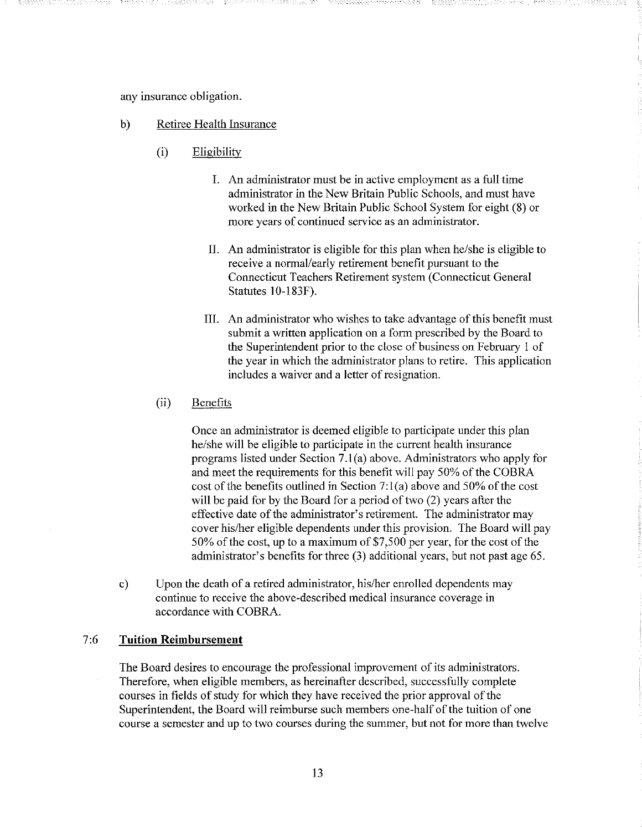any insurance obligation.

- b) Retiree Health Insurance
	- (i) Eligibility
		- I. An administrator must be in active employment as a full time administrator in the New Britain Public Schools, and must have worked in the New Britain Public School System for eight (8) or more years of continued service as an administrator.
		- II. An administrator is eligible for this plan when he/she is eligible to receive a normal/early retirement benefit pursuant to the Connecticut Teachers Retirement system (Connecticut General Statutes 10-183F).
		- III. An administrator who wishes to take advantage of this benefit must submit a written application on a form prescribed by the Board to the Superintendent prior to the close of business on February I of the year in which the administrator plans to retire. This application includes a waiver and a Jetter of resignation.

#### (ii) Benefits

Once an administrator is deemed eligible to participate under this plan he/she will be eligible to participate in the current health insurance programs listed under Section 7.l(a) above. Administrators who apply for and meet the requirements for this benefit will pay 50% of the COBRA cost of the benefits outlined in Section 7:l(a) above and 50% of the cost will be paid for by the Board for a period of two (2) years after the effective date of the administrator's retirement. The administrator may cover his/her eligible dependents under this provision. The Board will pay 50% of the cost, up to a maximum of\$7,500 per year, for the cost of the administrator's benefits for three (3) additional years, but not past age 65.

c) Upon the death of a retired administrator, his/her enrolled dependents may continue to receive the above-described medical insurance coverage in accordance with COBRA.

### 7:6 **Tuition Reimbursement**

The Board desires to encourage the professional improvement of its administrators. Therefore, when eligible members, as hereinafter described, successfully complete courses in fields of study for which they have received the prior approval of the Superintendent, the Board will reimburse such members one-half of the tuition of one course a semester and up to two courses during the summer, but not for more than twelve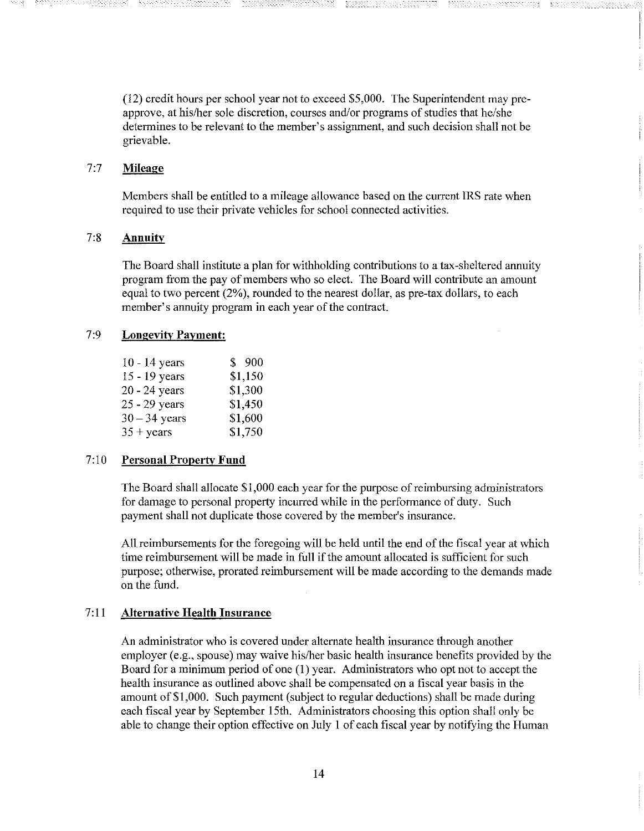(12) credit hours per school year not to exceed \$5,000. The Superintendent may preapprove, at his/her sole discretion, courses and/or programs of studies that he/she determines to be relevant to the member's assignment, and such decision shall not be grievable.

# 7:7 **Mileage**

Members shall be entitled to a mileage allowance based on the current IRS rate when required to use their private vehicles for school connected activities.

# 7:8 **Annuity**

The Board shall institute a plan for withholding contributions to a tax-sheltered annuity program from the pay of members who so elect. The Board will contribute an amount equal to two percent (2%), rounded to the nearest dollar, as pre-tax dollars, to each member's annuity program in each year of the contract.

### 7:9 **Longevity Payment:**

| $10 - 14$ years     | \$900   |
|---------------------|---------|
| 15 - 19 years       | \$1,150 |
| 20 - 24 years       | \$1,300 |
| 25 - 29 years       | \$1,450 |
| $30 - 34$ years     | \$1,600 |
| $35 + \text{years}$ | \$1,750 |

#### 7: 10 **Personal Property Fund**

The Board shall allocate \$1,000 each year for the purpose of reimbursing administrators for damage to personal property incurred while in the performance of duty. Such payment shall not duplicate those covered by the member's insurance.

All reimbursements for the foregoing will be held until the end of the fiscal year at which time reimbursement will be made in full if the amount allocated is sufficient for such purpose; otherwise, prorated reimbursement will be made according to the demands made on the fund.

# 7:11 **Alternative Health Insurance**

An administrator who is covered under alternate health insurance through another employer (e.g., spouse) may waive his/her basic health insurance benefits provided by the Board for a minimum period of one (1) year. Administrators who opt not to accept the health insurance as outlined above shall be compensated on a fiscal year basis in the amount of \$1,000. Such payment (subject to regular deductions) shall be made during each fiscal year by September 15th. Administrators choosing this option shall only be able to change their option effective on July **1** of each fiscal year by notifying the Human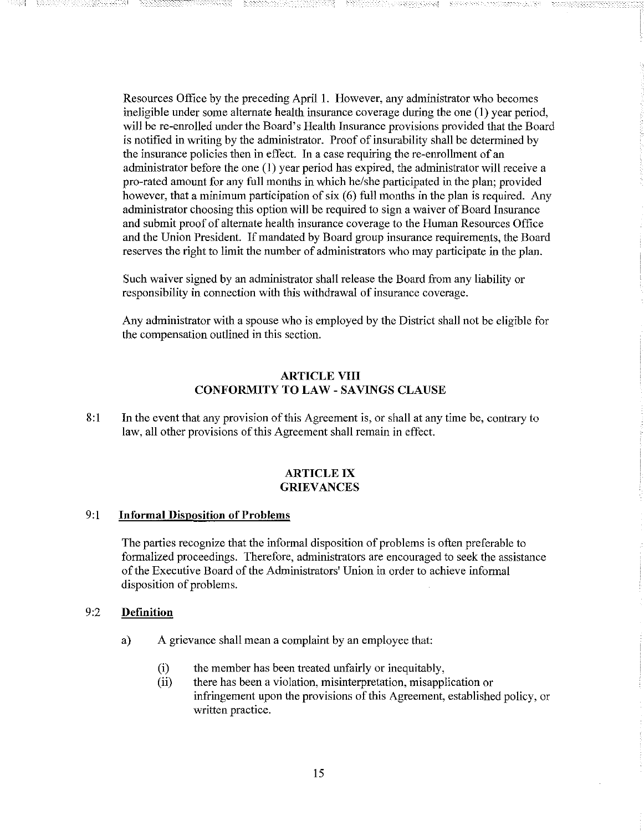Resources Office by the preceding April 1. However, any administrator who becomes ineligible under some alternate health insurance coverage during the one (I) year period, will be re-enrolled under the Board's Health Insurance provisions provided that the Board is notified in writing by the administrator. Proof of insurability shall be determined by the insurance policies then in effect. In a case requiring the re-enrollment of an administrator before the one (I) year period has expired, the administrator will receive a pro-rated amount for any full months in which he/she participated in the plan; provided however, that a minimum participation of six  $(6)$  full months in the plan is required. Any administrator choosing this option will be required to sign a waiver of Board Insurance and submit proof of alternate health insurance coverage to the Human Resources Office and the Union President. If mandated by Board group insurance requirements, the Board reserves the right to limit the number of administrators who may participate in the plan.

Such waiver signed by an administrator shall release the Board from any liability or responsibility in connection with this withdrawal of insurance coverage.

Any administrator with a spouse who is employed by the District shall not be eligible for the compensation outlined in this section.

# **ARTICLE VIII CONFORMITY TO LAW - SAVINGS CLAUSE**

8:1 In the event that any provision of this Agreement is, or shall at any time be, contrary to law, all other provisions of this Agreement shall remain in effect.

# **ARTICLE IX GRIEVANCES**

## 9:1 **Informal Disposition of Problems**

The parties recognize that the informal disposition of problems is often preferable to formalized proceedings. Therefore, administrators are encouraged to seek the assistance of the Executive Board of the Administrators' Union in order to achieve informal disposition of problems.

#### 9:2 **Definition**

- a) A grievance shall mean a complaint by an employee that:
	- (i) the member has been treated unfairly or inequitably,
	- (ii) there has been a violation, misinterpretation, misapplication or infringement upon the provisions of this Agreement, established policy, or written practice.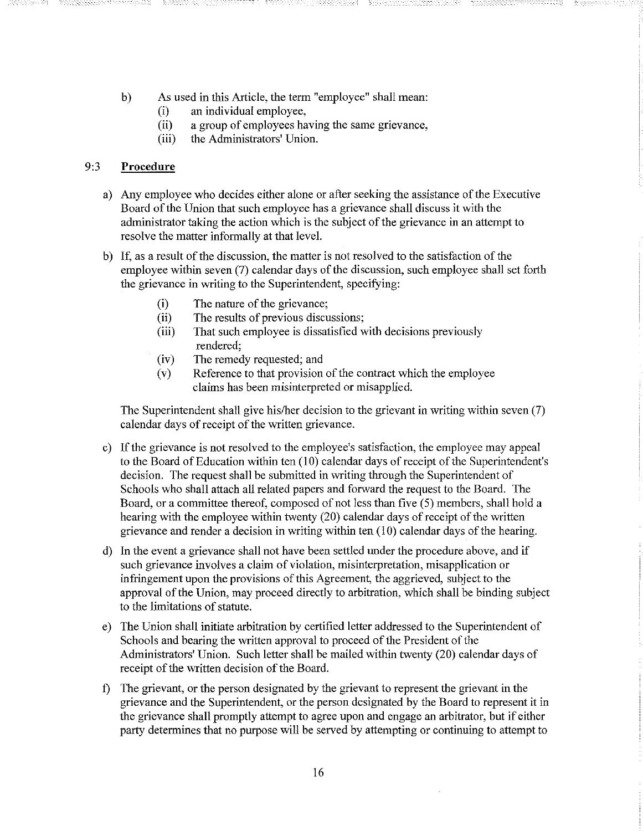- b) As used in this Article, the term "employee" shall mean:
	- (i) an individual employee,<br>(ii) a group of employees ha
	- a group of employees having the same grievance.
	- (iii) the Administrators' Union.

# 9:3 **Procedure**

- a) Any employee who decides either alone or after seeking the assistance of the Executive Board of the Union that such employee has a grievance shall discuss it with the administrator taking the action which is the subject of the grievance in an attempt to resolve the matter informally at that level.
- b) If, as a result of the discussion, the matter is not resolved to the satisfaction of the employee within seven (7) calendar days of the discussion, such employee shall set forth the grievance in writing to the Superintendent, specifying:
	- (i) The nature of the grievance;
	-
	- (ii) The results of previous discussions;<br>(iii) That such employee is dissatisfied v That such employee is dissatisfied with decisions previously rendered;
	- (iv) The remedy requested; and
	- (v) Reference to that provision of the contract which the employee claims has been misinterpreted or misapplied.

The Superintendent shall give his/her decision to the grievant in writing within seven (7) calendar days of receipt of the written grievance.

- c) If the grievance is not resolved to the employee's satisfaction, the employee may appeal to the Board of Education within ten (10) calendar days of receipt of the Superintendent's decision. The request shall be submitted in writing through the Superintendent of Schools who shall attach all related papers and forward the request to the Board. The Board, or a committee thereof, composed of not less than five (5) members, shall hold a hearing with the employee within twenty (20) calendar days of receipt of the written grievance and render a decision in writing within ten (10) calendar days of the hearing.
- d) In the event a grievance shall not have been settled under the procedure above, and if such grievance involves a claim of violation, misinterpretation, misapplication or infringement upon the provisions of this Agreement, the aggrieved, subject to the approval of the Union, may proceed directly to arbitration, which shall be binding subject to the limitations of statute.
- e) The Union shall initiate arbitration by certified letter addressed to the Superintendent of Schools and bearing the written approval to proceed of the President of the Administrators' Union. Such letter shall be mailed within twenty (20) calendar days of receipt of the written decision of the Board.
- f) The grievant, or the person designated by the grievant to represent the grievant in the grievance and the Superintendent, or the person designated by the Board to represent it in the grievance shall promptly attempt to agree upon and engage an arbitrator, but if either party determines that no purpose will be served by attempting or continuing to attempt to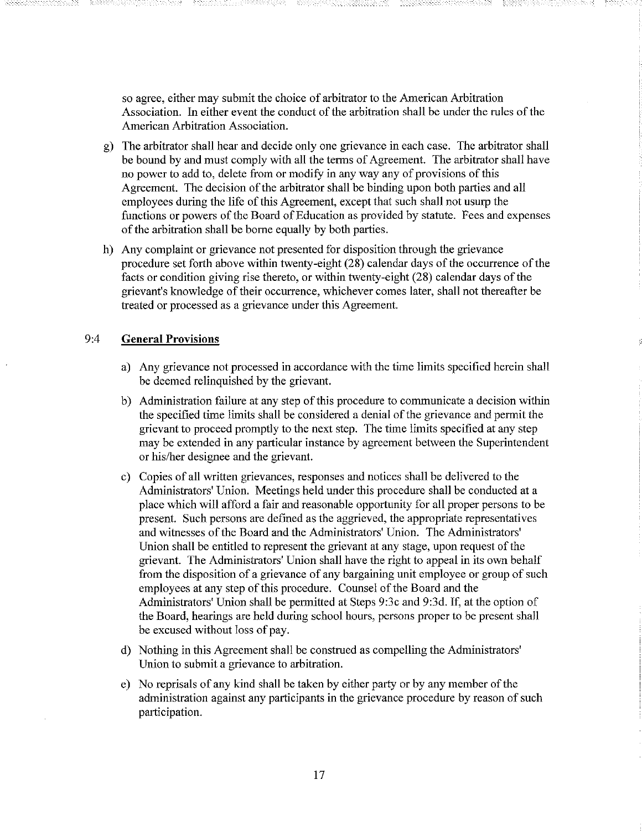so agree, either may submit the choice of arbitrator to the American Arbitration Association. In either event the conduct of the arbitration shall be under the rules of the American Arbitration Association.

- g) The arbitrator shall hear and decide only one grievance in each case. The arbitrator shall be bound by and must comply with all the terms of Agreement. The arbitrator shall have no power to add to, delete from or modify in any way any of provisions of this Agreement. The decision of the arbitrator shall be binding upon both parties and all employees during the life of this Agreement, except that such shall not usurp the functions or powers of the Board of Education as provided by statute. Fees and expenses of the arbitration shall be borne equally by both parties.
- h) Any complaint or grievance not presented for disposition through the grievance procedure set forth above within twenty-eight (28) calendar days of the occurrence of the facts or condition giving rise thereto, or within twenty-eight (28) calendar days of the grievant's knowledge of their occurrence, whichever comes later, shall not thereafter be treated or processed as a grievance under this Agreement.

### 9:4 **General Provisions**

- a) Any grievance not processed in accordance with the time limits specified herein shall be deemed relinquished by the grievant.
- b) Administration failure at any step of this procedure to communicate a decision within the specified time limits shall be considered a denial of the grievance and permit the grievant to proceed promptly to the next step. The time limits specified at any step may be extended in any particular instance by agreement between the Superintendent or his/her designee and the grievant.
- c) Copies of all written grievances, responses and notices shall be delivered to the Administrators' Union. Meetings held under this procedure shall be conducted at a place which will afford a fair and reasonable opportunity for all proper persons to be present. Such persons are defined as the aggrieved, the appropriate representatives and witnesses of the Board and the Administrators' Union. The Administrators' Union shall be entitled to represent the grievant at any stage, upon request of the grievant. The Administrators' Union shall have the right to appeal in its own behalf from the disposition of a grievance of any bargaining unit employee or group of such employees at any step of this procedure. Counsel of the Board and the Administrators' Union shall be permitted at Steps 9:3c and 9:3d. If, at the option of the Board, hearings are held during school hours, persons proper to be present shall be excused without loss of pay.
- d) Nothing in this Agreement shall be construed as compelling the Administrators' Union to submit a grievance to arbitration.
- e) No reprisals of any kind shall be taken by either party or by any member of the administration against any participants in the grievance procedure by reason of such participation.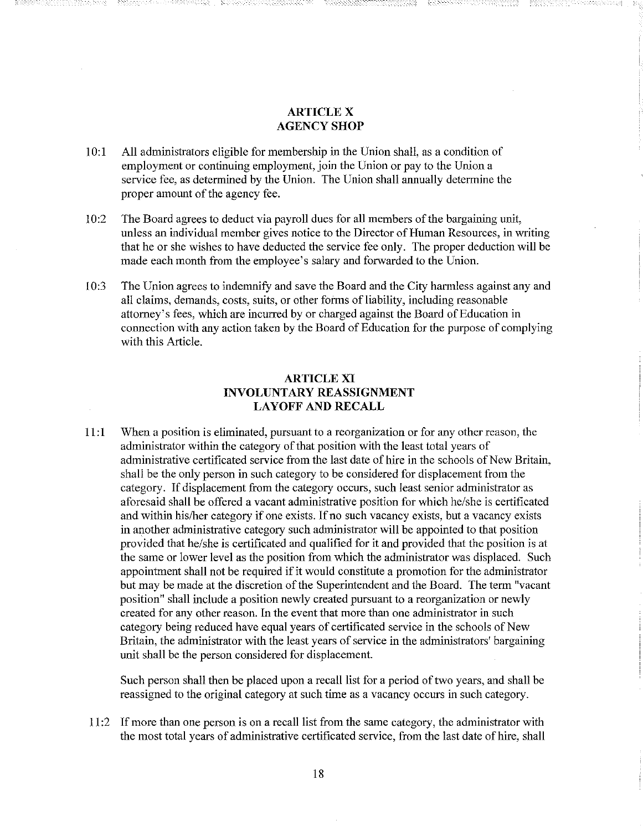# **ARTICLE X AGENCY SHOP**

- I 0: I All administrators eligible for membership in the Union shall, as a condition of employment or continuing employment, join the Union or pay to the Union a service fee, as determined by the Union. The Union shall annually determine the proper amount of the agency fee.
- 10:2 The Board agrees to deduct via payroll dues for all members of the bargaining unit, unless an individual member gives notice to the Director of Human Resources, in writing that he or she wishes to have deducted the service fee only. The proper deduction will be made each month from the employee's salary and forwarded to the Union.
- 10:3 The Union agrees to indemnify and save tbe Board and the City harmless against any and all claims, demands, costs, suits, or other forms of liability, including reasonable attorney's fees, which are incurred by or charged against the Board of Education in connection with any action taken by the Board of Education for the purpose of complying with this Article.

# **ARTICLE XI INVOLUNTARY REASSIGNMENT LAYOFF AND RECALL**

II: I When a position is eliminated, pursuant to a reorganization or for any other reason, tbe administrator within the category of that position with the least total years of administrative certificated service from the last date of hire in the schools of New Britain, shall be the only person in such category to be considered for displacement from tbe category. If displacement from the category occurs, such least senior administrator as aforesaid shall be offered a vacant administrative position for which he/she is certificated and within his/her category if one exists. If no such vacancy exists, but a vacancy exists in another administrative category such administrator will be appointed to that position provided that he/she is certificated and qualified for it and provided that the position is at the same or lower level as the position from which the administrator was displaced. Such appointment shall not be required if it would constitute a promotion for the administrator but may be made at tbe discretion of the Superintendent and the Board. The term "vacant position" shall include a position newly created pursuant to a reorganization or newly created for any other reason. In the event that more than one administrator in such category being reduced have equal years of certificated service in the schools of New Britain, the administrator with the least years of service in the administrators' bargaining unit shall be the person considered for displacement.

Such person shall then be placed upon a recall list for a period of two years, and shall be reassigned to the original category at such time as a vacancy occurs in such category.

II :2 If more than one person is on a recall list from the same category, the administrator with the most total years of administrative certificated service, from the last date of hire, shall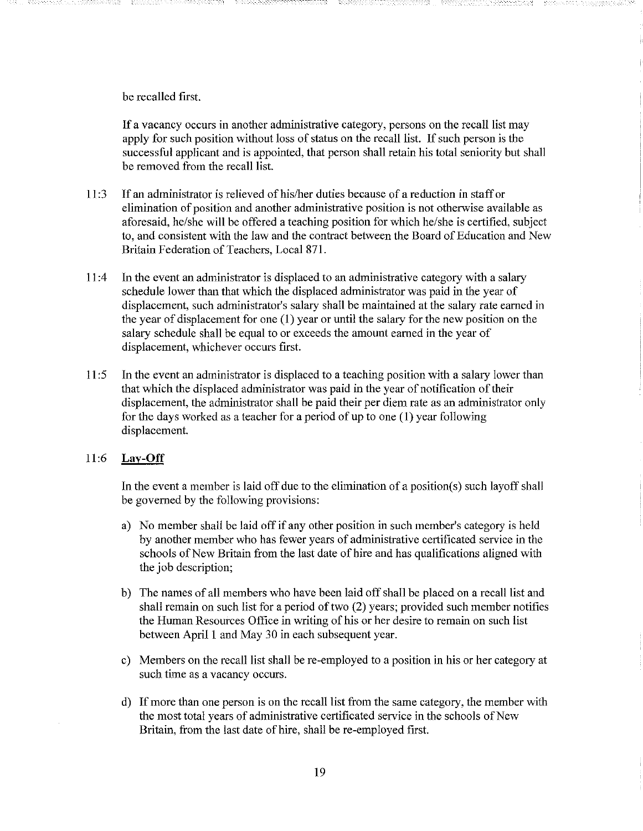be recalled first.

If a vacancy occurs in another administrative category, persons on the recall list may apply for such position without loss of status on the recall list. If such person is the successful applicant and is appointed, that person shall retain his total seniority but shall be removed from the recall list.

- 11 :3 If an administrator is relieved of his/her duties because of a reduction in staff or elimination of position and another administrative position is not otherwise available as aforesaid, he/she will be offered a teaching position for which he/she is certified, subject to, and consistent with the law and the contract between the Board of Education and New Britain Federation of Teachers, Local 871.
- 11 :4 In the event an administrator is displaced to an administrative category with a salary schedule lower than that which the displaced administrator was paid in the year of displacement, such administrator's salary shall be maintained at the salary rate earned in the year of displacement for one (I) year or until the salary for the new position on the salary schedule shall be equal to or exceeds the amount earned in the year of displacement, whichever occurs first.
- II :5 In the event an administrator is displaced to a teaching position with a salary lower than that which the displaced administrator was paid in the year of notification of their displacement, the administrator shall be paid their per diem rate as an administrator only for the days worked as a teacher for a period of up to one (I) year following displacement.

# 11:6 **Lay-Off**

In the event a member is laid off due to the elimination of a position( $s$ ) such layoff shall be governed by the following provisions:

- a) No member shall be laid off if any other position in such member's category is held by another member who has fewer years of administrative certificated service in the schools of New Britain from the last date of hire and has qualifications aligned with the job description;
- b) The names of all members who have been laid off shall be placed on a recall list and shall remain on such list for a period of two (2) years; provided such member notifies the Human Resources Office in writing of his or her desire to remain on such list between April 1 and May 30 in each subsequent year.
- c) Members on the recall list shall be re-employed to a position in his or her category at such time as a vacancy occurs.
- d) If more than one person is on the recall list from the same category, the member with the most total years of administrative certificated service in the schools of New Britain, from the last date of hire, shall be re-employed first.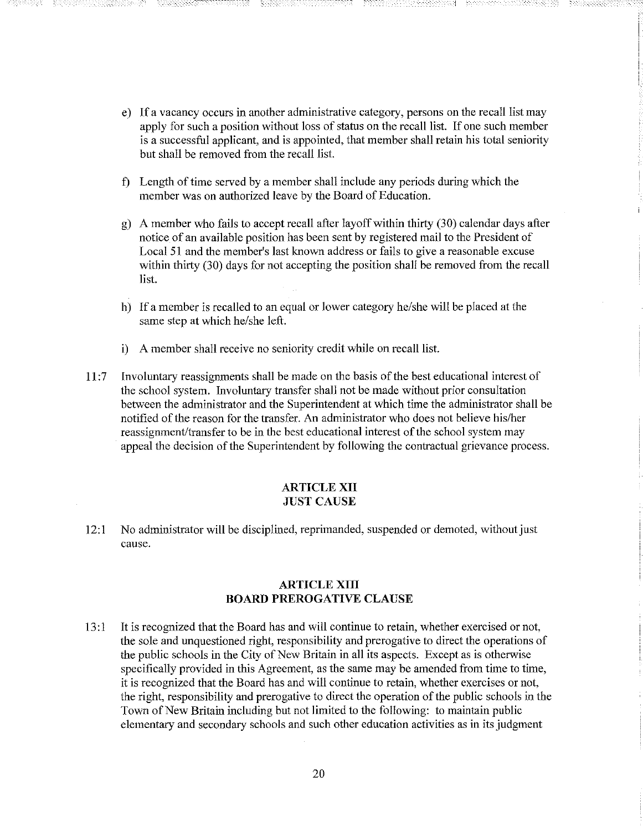- e) If a vacancy occurs in another administrative category, persons on the recall list may apply for such a position without loss of status on the recall list. If one such member is a successful applicant, and is appointed, that member shall retain his total seniority but shall be removed from the recall list.
- f) Length of time served by a member shall include any periods during which the member was on authorized leave by the Board of Education.
- g) A member who fails to accept recall after layoff within thirty (30) calendar days after notice of an available position has been sent by registered mail to the President of Local 51 and the member's last known address or fails to give a reasonable excuse within thirty (30) days for not accepting the position shall be removed from the recall list.
- h) If a member is recalled to an equal or lower category he/she will be placed at the same step at which he/she left.
- i) A member shall receive no seniority credit while on recall list.
- 11:7 Involuntary reassignments shall be made on the basis of the best educational interest of the school system. Involuntary transfer shall not be made without prior consultation between the administrator and the Superintendent at which time the administrator shall be notified of the reason for the transfer. An administrator who does not believe his/her reassignment/transfer to be in the best educational interest of the school system may appeal the decision of the Superintendent by following the contractual grievance process.

# ARTICLE XII JUST CAUSE

12: I No administrator will be disciplined, reprimanded, suspended or demoted, without just cause.

# ARTICLE XIII BOARD PREROGATIVE CLAUSE

13: I It is recognized that the Board has and will continue to retain, whether exercised or not, the sole and unquestioned right, responsibility and prerogative to direct the operations of the public schools in the City of New Britain in all its aspects. Except as is otherwise specifically provided in this Agreement, as the same may be amended from time to time, it is recognized that the Board has and will continue to retain, whether exercises or not, the right, responsibility and prerogative to direct the operation of the public schools in the Town of New Britain including but not limited to the following: to maintain public elementary and secondary schools and such other education activities as in its judgment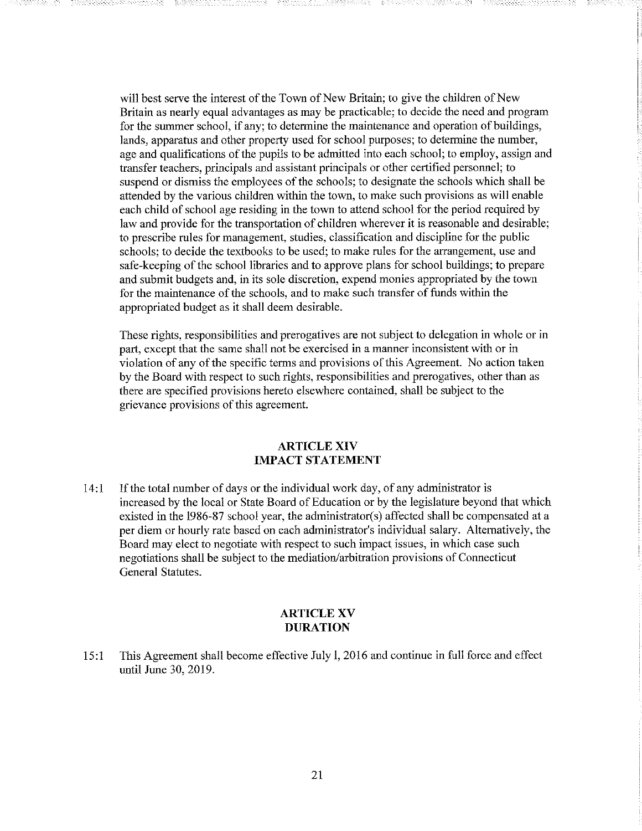will best serve the interest of the Town of New Britain; to give the children of New Britain as nearly equal advantages as may be practicable; to decide the need and program for the summer school, if any; to determine the maintenance and operation of buildings, lands, apparatus and other property used for school purposes; to determine the number, age and qualifications of the pupils to be admitted into each school; to employ, assign and transfer teachers, principals and assistant principals or other certified personnel; to suspend or dismiss the employees of the schools; to designate the schools which shall be attended by the various children within the town, to make such provisions as will enable each child of school age residing in the town to attend school for the period required by law and provide for the transportation of children wherever it is reasonable and desirable; to prescribe rules for management, studies, classification and discipline for the public schools; to decide the textbooks to be used; to make rules for the arrangement, use and safe-keeping of the school libraries and to approve plans for school buildings; to prepare and submit budgets and, in its sole discretion, expend monies appropriated by the town for the maintenance of the schools, and to make such transfer of funds within the appropriated budget as it shall deem desirable.

These rights, responsibilities and prerogatives are not subject to delegation in whole or in part, except that the same shall not be exercised in a manner inconsistent with or in violation of any of the specific terms and provisions of this Agreement. No action taken by the Board with respect to such rights, responsibilities and prerogatives, other than as there are specified provisions hereto elsewhere contained, shall be subject to the grievance provisions of this agreement.

# **ARTICLE XIV IMPACT STATEMENT**

14:1 If the total number of days or the individual work day, of any administrator is increased by the local or State Board of Education or by the legislature beyond that which existed in the 1986-87 school year, the administrator(s) affected shall be compensated at a per diem or hourly rate based on each administrator's individual salary. Alternatively, the Board may elect to negotiate with respect to such impact issues, in which case such negotiations shall be subject to the mediation/arbitration provisions of Connecticut General Statutes.

# **ARTICLE XV DURATION**

15:1 This Agreement shall become effective July 1, 2016 and continue in full force and effect until June 30,2019.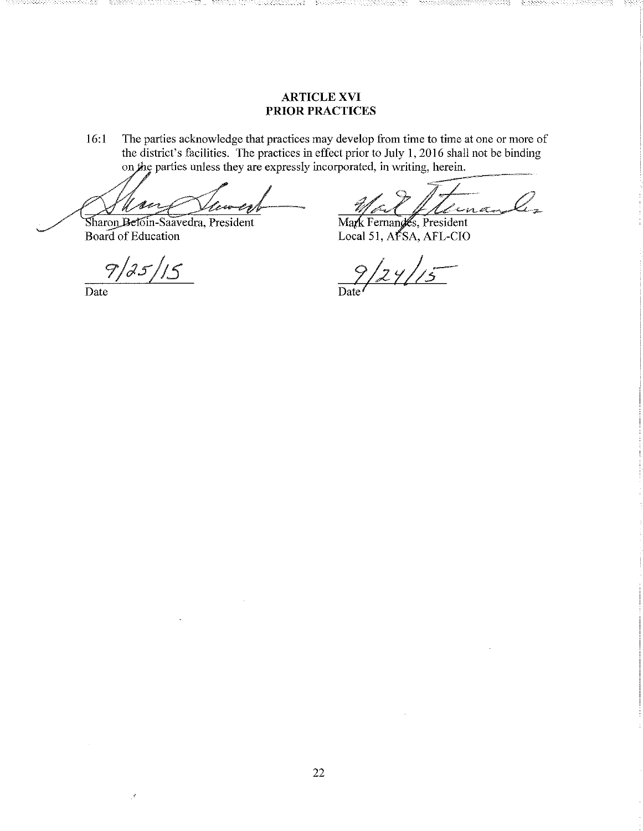# **ARTICLE XVI PRIOR PRACTICES**

16:1 The parties acknowledge that practices may develop from time to time at one or more of the district's facilities. The practices in effect prior to July 1, 2016 shall not be binding<br>on the parties unless they are expressly incorporated, in writing, herein. on the parties unless they are expressly incorporated, in writing, herein.

Sharon Beloin-Saavedra, President Board of Education

Local 51, AFSA, AFL-CIO

 $\frac{9}{25}/5$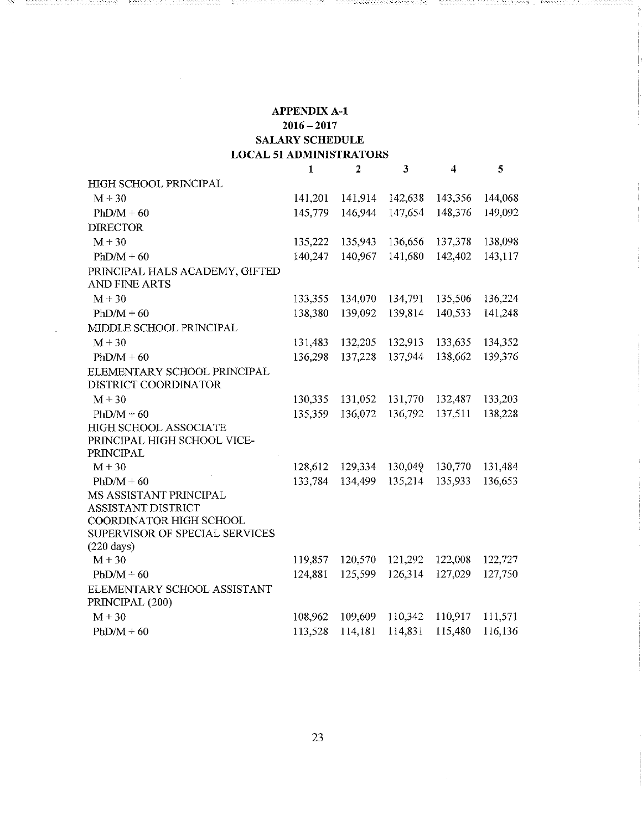# APPENDIX A-I **2016 -2017**  SALARY SCHEDULE **LOCAL 51 ADMINISTRATORS**

1966 Stephenson and a se

Meterne

altaitenet.

ಿ ಕಾರಿನ ನಮ್ಮ

u réfékte 197

, ұқ-сары көз түлігі мағат.

|                                                        | $\mathbf{1}$ | $\mathbf{2}$ | 3       | 4       | 5       |
|--------------------------------------------------------|--------------|--------------|---------|---------|---------|
| HIGH SCHOOL PRINCIPAL                                  |              |              |         |         |         |
| $M + 30$                                               | 141,201      | 141,914      | 142,638 | 143,356 | 144,068 |
| $PhD/M + 60$                                           | 145,779      | 146,944      | 147,654 | 148,376 | 149,092 |
| <b>DIRECTOR</b>                                        |              |              |         |         |         |
| $M + 30$                                               | 135,222      | 135,943      | 136,656 | 137,378 | 138,098 |
| $PhD/M + 60$                                           | 140,247      | 140,967      | 141,680 | 142,402 | 143,117 |
| PRINCIPAL HALS ACADEMY, GIFTED<br><b>AND FINE ARTS</b> |              |              |         |         |         |
| $M + 30$                                               | 133,355      | 134,070      | 134,791 | 135,506 | 136,224 |
| $PhD/M + 60$                                           | 138,380      | 139.092      | 139,814 | 140,533 | 141,248 |
| MIDDLE SCHOOL PRINCIPAL                                |              |              |         |         |         |
| $M + 30$                                               | 131,483      | 132,205      | 132,913 | 133,635 | 134,352 |
| $PhD/M + 60$                                           | 136,298      | 137,228      | 137,944 | 138,662 | 139,376 |
| ELEMENTARY SCHOOL PRINCIPAL<br>DISTRICT COORDINATOR    |              |              |         |         |         |
| $M+30$                                                 | 130,335      | 131,052      | 131,770 | 132,487 | 133,203 |
| $PhD/M + 60$                                           | 135,359      | 136,072      | 136,792 | 137,511 | 138,228 |
| HIGH SCHOOL ASSOCIATE<br>PRINCIPAL HIGH SCHOOL VICE-   |              |              |         |         |         |
| <b>PRINCIPAL</b>                                       |              |              |         |         |         |
| $M + 30$                                               | 128,612      | 129,334      | 130,049 | 130,770 | 131,484 |
| $PhD/M + 60$                                           | 133.784      | 134.499      | 135,214 | 135,933 | 136.653 |
| MS ASSISTANT PRINCIPAL                                 |              |              |         |         |         |
| <b>ASSISTANT DISTRICT</b><br>COORDINATOR HIGH SCHOOL   |              |              |         |         |         |
| SUPERVISOR OF SPECIAL SERVICES                         |              |              |         |         |         |
| $(220 \text{ days})$                                   |              |              |         |         |         |
| $M+30$                                                 | 119,857      | 120,570      | 121,292 | 122,008 | 122,727 |
| $PhD/M + 60$                                           | 124,881      | 125,599      | 126,314 | 127,029 | 127,750 |
| ELEMENTARY SCHOOL ASSISTANT<br>PRINCIPAL (200)         |              |              |         |         |         |
| $M + 30$                                               | 108,962      | 109.609      | 110.342 | 110.917 | 111,571 |
| $PhD/M + 60$                                           | 113,528      | 114.181      | 114,831 | 115,480 | 116.136 |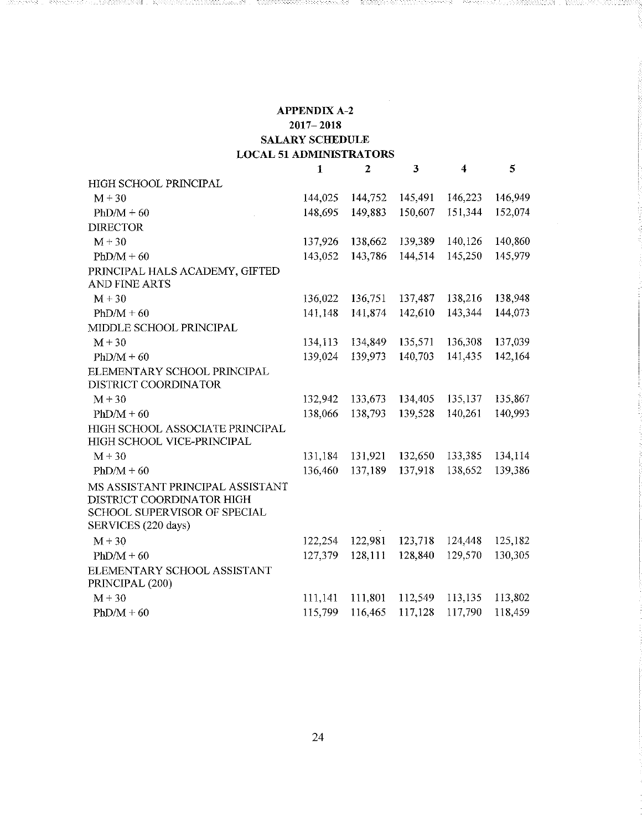# **APPENDIX** A-2 **2017-2018 SALARY SCHEDULE LOCAL 51 ADMINISTRATORS**

EFRICA REPORT OUT FILTERS

32330

45 MM more er 100 meas en 1499.

uštvenena u Premater piesu, takštiški iškirist

KARAMANG KILOMBANAN (

|                                                                                                                      | 1       | $\mathbf{2}$ | 3       | 4       | 5       |
|----------------------------------------------------------------------------------------------------------------------|---------|--------------|---------|---------|---------|
| <b>HIGH SCHOOL PRINCIPAL</b>                                                                                         |         |              |         |         |         |
| $M + 30$                                                                                                             | 144,025 | 144,752      | 145,491 | 146,223 | 146,949 |
| $PhD/M + 60$                                                                                                         | 148,695 | 149,883      | 150,607 | 151,344 | 152,074 |
| <b>DIRECTOR</b>                                                                                                      |         |              |         |         |         |
| $M + 30$                                                                                                             | 137,926 | 138,662      | 139,389 | 140,126 | 140,860 |
| $PhD/M + 60$                                                                                                         | 143,052 | 143,786      | 144,514 | 145,250 | 145,979 |
| PRINCIPAL HALS ACADEMY, GIFTED<br><b>AND FINE ARTS</b>                                                               |         |              |         |         |         |
| $M + 30$                                                                                                             | 136,022 | 136,751      | 137,487 | 138,216 | 138,948 |
| $PhD/M + 60$                                                                                                         | 141,148 | 141,874      | 142,610 | 143,344 | 144,073 |
| MIDDLE SCHOOL PRINCIPAL                                                                                              |         |              |         |         |         |
| $M + 30$                                                                                                             | 134 113 | 134,849      | 135,571 | 136,308 | 137,039 |
| $PhD/M + 60$                                                                                                         | 139,024 | 139,973      | 140,703 | 141,435 | 142,164 |
| ELEMENTARY SCHOOL PRINCIPAL<br>DISTRICT COORDINATOR                                                                  |         |              |         |         |         |
| $M + 30$                                                                                                             | 132,942 | 133,673      | 134,405 | 135,137 | 135,867 |
| $PhD/M + 60$                                                                                                         | 138,066 | 138,793      | 139,528 | 140,261 | 140,993 |
| HIGH SCHOOL ASSOCIATE PRINCIPAL<br>HIGH SCHOOL VICE-PRINCIPAL                                                        |         |              |         |         |         |
| $M + 30$                                                                                                             | 131,184 | 131,921      | 132,650 | 133,385 | 134,114 |
| $PhD/M + 60$                                                                                                         | 136,460 | 137,189      | 137,918 | 138,652 | 139,386 |
| MS ASSISTANT PRINCIPAL ASSISTANT<br>DISTRICT COORDINATOR HIGH<br>SCHOOL SUPERVISOR OF SPECIAL<br>SERVICES (220 days) |         |              |         |         |         |
| $M + 30$                                                                                                             | 122,254 | 122,981      | 123,718 | 124,448 | 125,182 |
| $PhD/M + 60$                                                                                                         | 127,379 | 128,111      | 128,840 | 129,570 | 130,305 |
| ELEMENTARY SCHOOL ASSISTANT<br>PRINCIPAL (200)                                                                       |         |              |         |         |         |
| $M + 30$                                                                                                             | 111,141 | 111,801      | 112,549 | 113,135 | 113,802 |
| $PhD/M + 60$                                                                                                         | 115,799 | 116,465      | 117,128 | 117,790 | 118,459 |